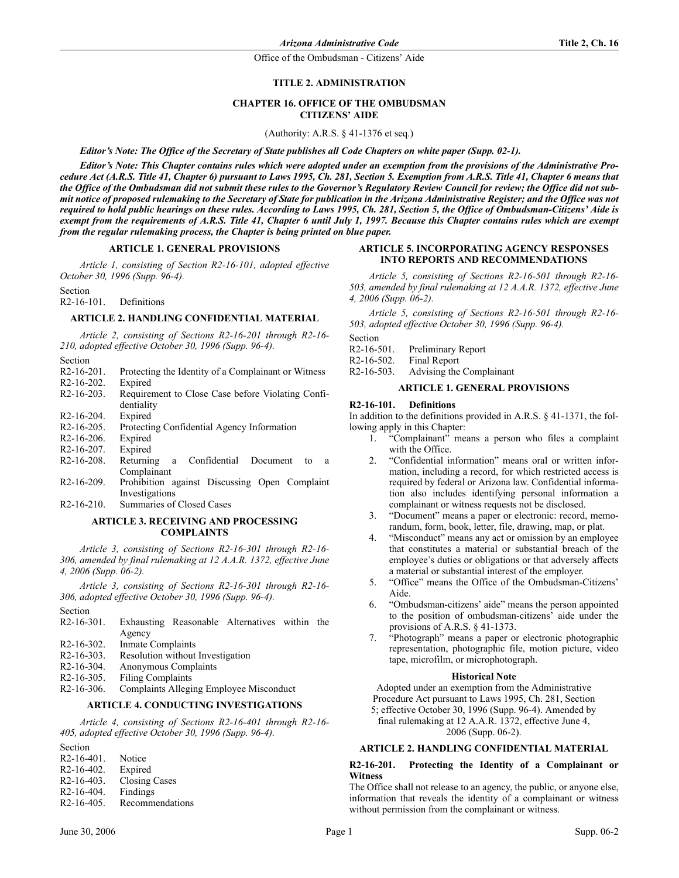## **TITLE 2. ADMINISTRATION**

## **CHAPTER 16. OFFICE OF THE OMBUDSMAN CITIZENS' AIDE**

(Authority: A.R.S. § 41-1376 et seq.)

*Editor's Note: The Office of the Secretary of State publishes all Code Chapters on white paper (Supp. 02-1).*

*Editor's Note: This Chapter contains rules which were adopted under an exemption from the provisions of the Administrative Procedure Act (A.R.S. Title 41, Chapter 6) pursuant to Laws 1995, Ch. 281, Section 5. Exemption from A.R.S. Title 41, Chapter 6 means that the Office of the Ombudsman did not submit these rules to the Governor's Regulatory Review Council for review; the Office did not submit notice of proposed rulemaking to the Secretary of State for publication in the Arizona Administrative Register; and the Office was not required to hold public hearings on these rules. According to Laws 1995, Ch. 281, Section 5, the Office of Ombudsman-Citizens' Aide is exempt from the requirements of A.R.S. Title 41, Chapter 6 until July 1, 1997. Because this Chapter contains rules which are exempt from the regular rulemaking process, the Chapter is being printed on blue paper.*

#### **ARTICLE 1. GENERAL PROVISIONS**

*Article 1, consisting of Section R2-16-101, adopted effective October 30, 1996 (Supp. 96-4).*

Section

R2-16-101. Definitions

#### **ARTICLE 2. HANDLING CONFIDENTIAL MATERIAL**

*Article 2, consisting of Sections R2-16-201 through R2-16- 210, adopted effective October 30, 1996 (Supp. 96-4).*

| section |
|---------|
|         |
|         |

| $R2-16-201$ .         | Protecting the Identity of a Complainant or Witness |
|-----------------------|-----------------------------------------------------|
| $R2-16-202$ . Expired |                                                     |
| D216202               | Dequirement to Class Case hofers Violating Canfi    |

- R2-16-203. Requirement to Close Case before Violating Confidentiality R2-16-204. Expired
- 
- R2-16-205. Protecting Confidential Agency Information
- R2-16-206. Expired
- R2-16-207. Expired
- R2-16-208. Returning a Confidential Document to a Complainant
- R2-16-209. Prohibition against Discussing Open Complaint Investigations
- R2-16-210. Summaries of Closed Cases

## **ARTICLE 3. RECEIVING AND PROCESSING COMPLAINTS**

*Article 3, consisting of Sections R2-16-301 through R2-16- 306, amended by final rulemaking at 12 A.A.R. 1372, effective June 4, 2006 (Supp. 06-2).*

*Article 3, consisting of Sections R2-16-301 through R2-16- 306, adopted effective October 30, 1996 (Supp. 96-4).*

- Section<br> $R2-16-301$ . Exhausting Reasonable Alternatives within the Agency R2-16-302. Inmate Complaints
- R2-16-303. Resolution without Investigation
- R2-16-304. Anonymous Complaints
- 
- R2-16-305. Filing Complaints<br>R2-16-306. Complaints Allegi Complaints Alleging Employee Misconduct

# **ARTICLE 4. CONDUCTING INVESTIGATIONS**

*Article 4, consisting of Sections R2-16-401 through R2-16- 405, adopted effective October 30, 1996 (Supp. 96-4).*

Section R2-16-401. Notice R2-16-402. Expired R2-16-403. Closing Cases R2-16-404. Findings R2-16-405. Recommendations

#### **ARTICLE 5. INCORPORATING AGENCY RESPONSES INTO REPORTS AND RECOMMENDATIONS**

*Article 5, consisting of Sections R2-16-501 through R2-16- 503, amended by final rulemaking at 12 A.A.R. 1372, effective June 4, 2006 (Supp. 06-2).*

*Article 5, consisting of Sections R2-16-501 through R2-16- 503, adopted effective October 30, 1996 (Supp. 96-4).*

Section

- R2-16-501. Preliminary Report
- R2-16-502. Final Report
- R2-16-503. Advising the Complainant

#### **ARTICLE 1. GENERAL PROVISIONS**

#### **R2-16-101. Definitions**

In addition to the definitions provided in A.R.S. § 41-1371, the following apply in this Chapter:

- 1. "Complainant" means a person who files a complaint with the Office.
- 2. "Confidential information" means oral or written information, including a record, for which restricted access is required by federal or Arizona law. Confidential information also includes identifying personal information a complainant or witness requests not be disclosed.
- 3. "Document" means a paper or electronic: record, memorandum, form, book, letter, file, drawing, map, or plat.
- 4. "Misconduct" means any act or omission by an employee that constitutes a material or substantial breach of the employee's duties or obligations or that adversely affects a material or substantial interest of the employer.
- 5. "Office" means the Office of the Ombudsman-Citizens' Aide.
- 6. "Ombudsman-citizens' aide" means the person appointed to the position of ombudsman-citizens' aide under the provisions of A.R.S. § 41-1373.
- 7. "Photograph" means a paper or electronic photographic representation, photographic file, motion picture, video tape, microfilm, or microphotograph.

## **Historical Note**

Adopted under an exemption from the Administrative

Procedure Act pursuant to Laws 1995, Ch. 281, Section

5; effective October 30, 1996 (Supp. 96-4). Amended by final rulemaking at 12 A.A.R. 1372, effective June 4,

2006 (Supp. 06-2).

# **ARTICLE 2. HANDLING CONFIDENTIAL MATERIAL**

## **R2-16-201. Protecting the Identity of a Complainant or Witness**

The Office shall not release to an agency, the public, or anyone else, information that reveals the identity of a complainant or witness without permission from the complainant or witness.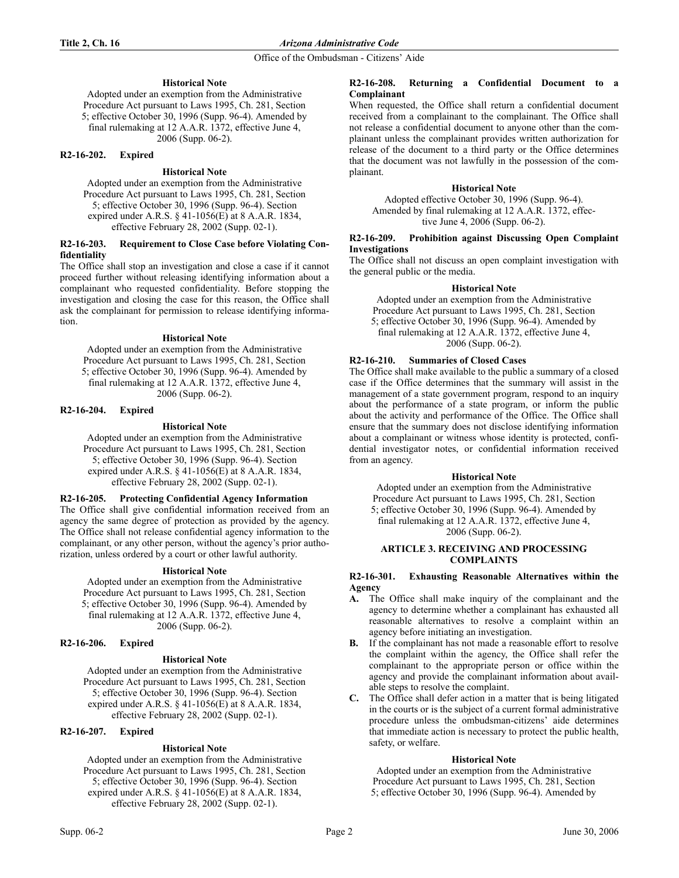## **Historical Note**

Adopted under an exemption from the Administrative Procedure Act pursuant to Laws 1995, Ch. 281, Section 5; effective October 30, 1996 (Supp. 96-4). Amended by final rulemaking at 12 A.A.R. 1372, effective June 4, 2006 (Supp. 06-2).

#### **R2-16-202. Expired**

## **Historical Note**

Adopted under an exemption from the Administrative Procedure Act pursuant to Laws 1995, Ch. 281, Section 5; effective October 30, 1996 (Supp. 96-4). Section expired under A.R.S. § 41-1056(E) at 8 A.A.R. 1834, effective February 28, 2002 (Supp. 02-1).

## **R2-16-203. Requirement to Close Case before Violating Confidentiality**

The Office shall stop an investigation and close a case if it cannot proceed further without releasing identifying information about a complainant who requested confidentiality. Before stopping the investigation and closing the case for this reason, the Office shall ask the complainant for permission to release identifying information.

#### **Historical Note**

Adopted under an exemption from the Administrative Procedure Act pursuant to Laws 1995, Ch. 281, Section 5; effective October 30, 1996 (Supp. 96-4). Amended by final rulemaking at 12 A.A.R. 1372, effective June 4, 2006 (Supp. 06-2).

## **R2-16-204. Expired**

## **Historical Note**

Adopted under an exemption from the Administrative Procedure Act pursuant to Laws 1995, Ch. 281, Section 5; effective October 30, 1996 (Supp. 96-4). Section expired under A.R.S. § 41-1056(E) at 8 A.A.R. 1834, effective February 28, 2002 (Supp. 02-1).

## **R2-16-205. Protecting Confidential Agency Information**

The Office shall give confidential information received from an agency the same degree of protection as provided by the agency. The Office shall not release confidential agency information to the complainant, or any other person, without the agency's prior authorization, unless ordered by a court or other lawful authority.

## **Historical Note**

Adopted under an exemption from the Administrative Procedure Act pursuant to Laws 1995, Ch. 281, Section 5; effective October 30, 1996 (Supp. 96-4). Amended by final rulemaking at 12 A.A.R. 1372, effective June 4, 2006 (Supp. 06-2).

#### **R2-16-206. Expired**

## **Historical Note**

Adopted under an exemption from the Administrative Procedure Act pursuant to Laws 1995, Ch. 281, Section 5; effective October 30, 1996 (Supp. 96-4). Section expired under A.R.S. § 41-1056(E) at 8 A.A.R. 1834, effective February 28, 2002 (Supp. 02-1).

# **R2-16-207. Expired**

## **Historical Note**

Adopted under an exemption from the Administrative Procedure Act pursuant to Laws 1995, Ch. 281, Section 5; effective October 30, 1996 (Supp. 96-4). Section expired under A.R.S. § 41-1056(E) at 8 A.A.R. 1834, effective February 28, 2002 (Supp. 02-1).

#### **R2-16-208. Returning a Confidential Document to a Complainant**

When requested, the Office shall return a confidential document received from a complainant to the complainant. The Office shall not release a confidential document to anyone other than the complainant unless the complainant provides written authorization for release of the document to a third party or the Office determines that the document was not lawfully in the possession of the complainant.

## **Historical Note**

Adopted effective October 30, 1996 (Supp. 96-4). Amended by final rulemaking at 12 A.A.R. 1372, effective June 4, 2006 (Supp. 06-2).

#### **R2-16-209. Prohibition against Discussing Open Complaint Investigations**

The Office shall not discuss an open complaint investigation with the general public or the media.

## **Historical Note**

Adopted under an exemption from the Administrative Procedure Act pursuant to Laws 1995, Ch. 281, Section 5; effective October 30, 1996 (Supp. 96-4). Amended by final rulemaking at 12 A.A.R. 1372, effective June 4, 2006 (Supp. 06-2).

# **R2-16-210. Summaries of Closed Cases**

The Office shall make available to the public a summary of a closed case if the Office determines that the summary will assist in the management of a state government program, respond to an inquiry about the performance of a state program, or inform the public about the activity and performance of the Office. The Office shall ensure that the summary does not disclose identifying information about a complainant or witness whose identity is protected, confidential investigator notes, or confidential information received from an agency.

## **Historical Note**

Adopted under an exemption from the Administrative Procedure Act pursuant to Laws 1995, Ch. 281, Section 5; effective October 30, 1996 (Supp. 96-4). Amended by final rulemaking at 12 A.A.R. 1372, effective June 4, 2006 (Supp. 06-2).

## **ARTICLE 3. RECEIVING AND PROCESSING COMPLAINTS**

## **R2-16-301. Exhausting Reasonable Alternatives within the Agency**

- **A.** The Office shall make inquiry of the complainant and the agency to determine whether a complainant has exhausted all reasonable alternatives to resolve a complaint within an agency before initiating an investigation.
- **B.** If the complainant has not made a reasonable effort to resolve the complaint within the agency, the Office shall refer the complainant to the appropriate person or office within the agency and provide the complainant information about available steps to resolve the complaint.
- **C.** The Office shall defer action in a matter that is being litigated in the courts or is the subject of a current formal administrative procedure unless the ombudsman-citizens' aide determines that immediate action is necessary to protect the public health, safety, or welfare.

## **Historical Note**

Adopted under an exemption from the Administrative Procedure Act pursuant to Laws 1995, Ch. 281, Section 5; effective October 30, 1996 (Supp. 96-4). Amended by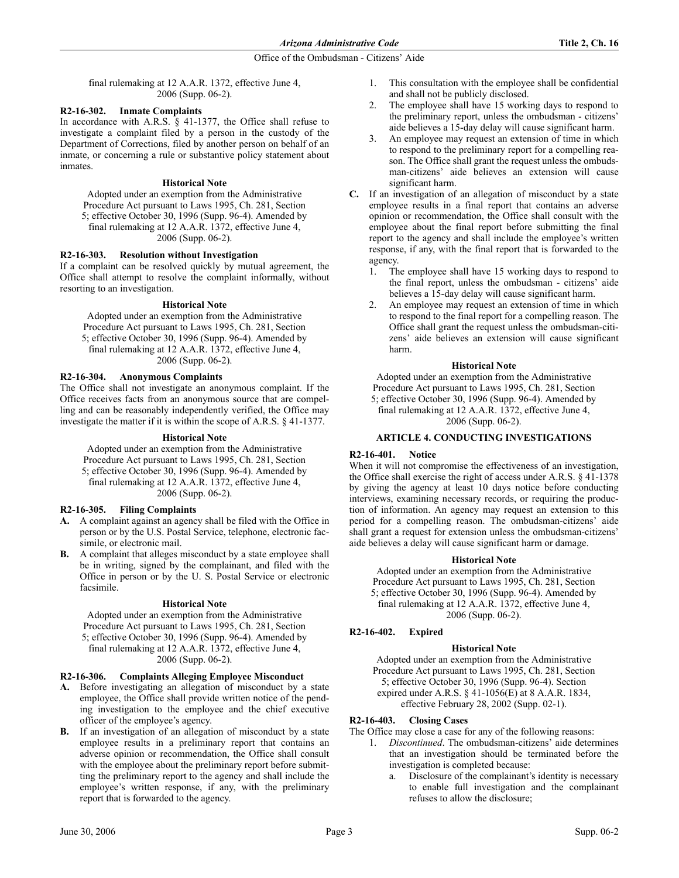final rulemaking at 12 A.A.R. 1372, effective June 4, 2006 (Supp. 06-2).

## **R2-16-302. Inmate Complaints**

In accordance with A.R.S. § 41-1377, the Office shall refuse to investigate a complaint filed by a person in the custody of the Department of Corrections, filed by another person on behalf of an inmate, or concerning a rule or substantive policy statement about inmates.

## **Historical Note**

Adopted under an exemption from the Administrative Procedure Act pursuant to Laws 1995, Ch. 281, Section 5; effective October 30, 1996 (Supp. 96-4). Amended by final rulemaking at 12 A.A.R. 1372, effective June 4, 2006 (Supp. 06-2).

# **R2-16-303. Resolution without Investigation**

If a complaint can be resolved quickly by mutual agreement, the Office shall attempt to resolve the complaint informally, without resorting to an investigation.

## **Historical Note**

Adopted under an exemption from the Administrative Procedure Act pursuant to Laws 1995, Ch. 281, Section 5; effective October 30, 1996 (Supp. 96-4). Amended by final rulemaking at 12 A.A.R. 1372, effective June 4, 2006 (Supp. 06-2).

## **R2-16-304. Anonymous Complaints**

The Office shall not investigate an anonymous complaint. If the Office receives facts from an anonymous source that are compelling and can be reasonably independently verified, the Office may investigate the matter if it is within the scope of A.R.S. § 41-1377.

## **Historical Note**

Adopted under an exemption from the Administrative Procedure Act pursuant to Laws 1995, Ch. 281, Section 5; effective October 30, 1996 (Supp. 96-4). Amended by final rulemaking at 12 A.A.R. 1372, effective June 4, 2006 (Supp. 06-2).

## **R2-16-305. Filing Complaints**

- **A.** A complaint against an agency shall be filed with the Office in person or by the U.S. Postal Service, telephone, electronic facsimile, or electronic mail.
- **B.** A complaint that alleges misconduct by a state employee shall be in writing, signed by the complainant, and filed with the Office in person or by the U. S. Postal Service or electronic facsimile.

## **Historical Note**

Adopted under an exemption from the Administrative Procedure Act pursuant to Laws 1995, Ch. 281, Section

5; effective October 30, 1996 (Supp. 96-4). Amended by final rulemaking at 12 A.A.R. 1372, effective June 4, 2006 (Supp. 06-2).

## **R2-16-306. Complaints Alleging Employee Misconduct**

- **A.** Before investigating an allegation of misconduct by a state employee, the Office shall provide written notice of the pending investigation to the employee and the chief executive officer of the employee's agency.
- **B.** If an investigation of an allegation of misconduct by a state employee results in a preliminary report that contains an adverse opinion or recommendation, the Office shall consult with the employee about the preliminary report before submitting the preliminary report to the agency and shall include the employee's written response, if any, with the preliminary report that is forwarded to the agency.
- 1. This consultation with the employee shall be confidential and shall not be publicly disclosed.
- 2. The employee shall have 15 working days to respond to the preliminary report, unless the ombudsman - citizens' aide believes a 15-day delay will cause significant harm.
- 3. An employee may request an extension of time in which to respond to the preliminary report for a compelling reason. The Office shall grant the request unless the ombudsman-citizens' aide believes an extension will cause significant harm.
- **C.** If an investigation of an allegation of misconduct by a state employee results in a final report that contains an adverse opinion or recommendation, the Office shall consult with the employee about the final report before submitting the final report to the agency and shall include the employee's written response, if any, with the final report that is forwarded to the agency.
	- 1. The employee shall have 15 working days to respond to the final report, unless the ombudsman - citizens' aide believes a 15-day delay will cause significant harm.
	- 2. An employee may request an extension of time in which to respond to the final report for a compelling reason. The Office shall grant the request unless the ombudsman-citizens' aide believes an extension will cause significant harm.

## **Historical Note**

Adopted under an exemption from the Administrative Procedure Act pursuant to Laws 1995, Ch. 281, Section 5; effective October 30, 1996 (Supp. 96-4). Amended by final rulemaking at 12 A.A.R. 1372, effective June 4, 2006 (Supp. 06-2).

## **ARTICLE 4. CONDUCTING INVESTIGATIONS**

## **R2-16-401. Notice**

When it will not compromise the effectiveness of an investigation. the Office shall exercise the right of access under A.R.S. § 41-1378 by giving the agency at least 10 days notice before conducting interviews, examining necessary records, or requiring the production of information. An agency may request an extension to this period for a compelling reason. The ombudsman-citizens' aide shall grant a request for extension unless the ombudsman-citizens' aide believes a delay will cause significant harm or damage.

## **Historical Note**

Adopted under an exemption from the Administrative Procedure Act pursuant to Laws 1995, Ch. 281, Section 5; effective October 30, 1996 (Supp. 96-4). Amended by final rulemaking at 12 A.A.R. 1372, effective June 4, 2006 (Supp. 06-2).

# **R2-16-402. Expired**

## **Historical Note**

Adopted under an exemption from the Administrative Procedure Act pursuant to Laws 1995, Ch. 281, Section 5; effective October 30, 1996 (Supp. 96-4). Section expired under A.R.S. § 41-1056(E) at 8 A.A.R. 1834, effective February 28, 2002 (Supp. 02-1).

# **R2-16-403. Closing Cases**

The Office may close a case for any of the following reasons:

- 1. *Discontinued*. The ombudsman-citizens' aide determines that an investigation should be terminated before the investigation is completed because:
	- a. Disclosure of the complainant's identity is necessary to enable full investigation and the complainant refuses to allow the disclosure;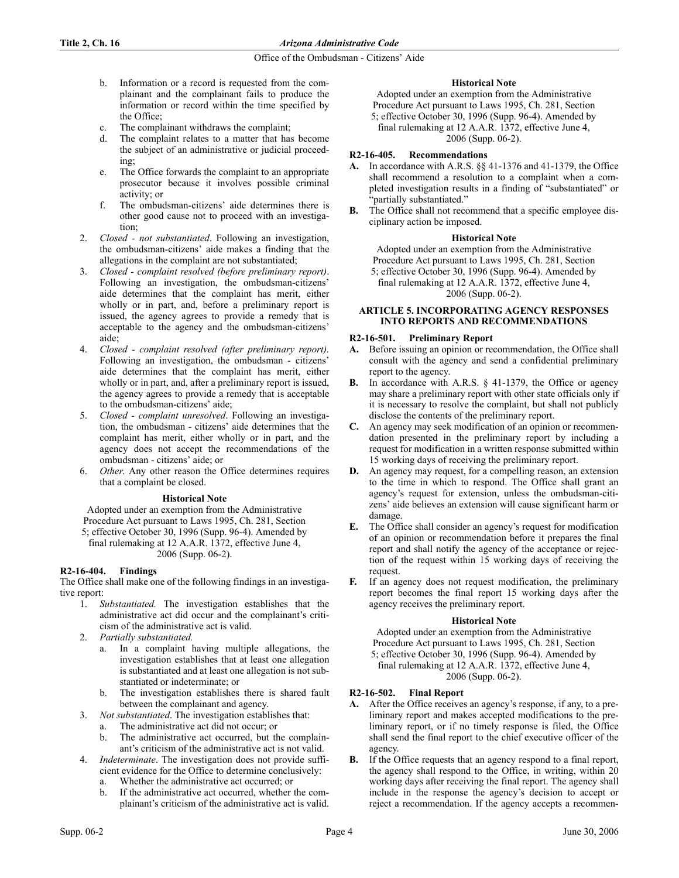- b. Information or a record is requested from the complainant and the complainant fails to produce the information or record within the time specified by the Office;
- c. The complainant withdraws the complaint;
- d. The complaint relates to a matter that has become the subject of an administrative or judicial proceeding;
- e. The Office forwards the complaint to an appropriate prosecutor because it involves possible criminal activity; or
- f. The ombudsman-citizens' aide determines there is other good cause not to proceed with an investigation;
- 2. *Closed not substantiated*. Following an investigation, the ombudsman-citizens' aide makes a finding that the allegations in the complaint are not substantiated;
- 3. *Closed complaint resolved (before preliminary report)*. Following an investigation, the ombudsman-citizens' aide determines that the complaint has merit, either wholly or in part, and, before a preliminary report is issued, the agency agrees to provide a remedy that is acceptable to the agency and the ombudsman-citizens' aide;
- 4. *Closed complaint resolved (after preliminary report).* Following an investigation, the ombudsman - citizens' aide determines that the complaint has merit, either wholly or in part, and, after a preliminary report is issued, the agency agrees to provide a remedy that is acceptable to the ombudsman-citizens' aide;
- 5. *Closed complaint unresolved*. Following an investigation, the ombudsman - citizens' aide determines that the complaint has merit, either wholly or in part, and the agency does not accept the recommendations of the ombudsman - citizens' aide; or
- 6. *Other*. Any other reason the Office determines requires that a complaint be closed.

# **Historical Note**

Adopted under an exemption from the Administrative Procedure Act pursuant to Laws 1995, Ch. 281, Section 5; effective October 30, 1996 (Supp. 96-4). Amended by

final rulemaking at 12 A.A.R. 1372, effective June 4, 2006 (Supp. 06-2).

# **R2-16-404. Findings**

The Office shall make one of the following findings in an investigative report:

- 1. *Substantiated.* The investigation establishes that the administrative act did occur and the complainant's criticism of the administrative act is valid.
- 2. *Partially substantiated.*
	- In a complaint having multiple allegations, the investigation establishes that at least one allegation is substantiated and at least one allegation is not substantiated or indeterminate; or
	- b. The investigation establishes there is shared fault between the complainant and agency.
- 3. *Not substantiated*. The investigation establishes that:
	- a. The administrative act did not occur; or
	- b. The administrative act occurred, but the complainant's criticism of the administrative act is not valid.
- 4. *Indeterminate*. The investigation does not provide sufficient evidence for the Office to determine conclusively:
	- a. Whether the administrative act occurred; or
	- b. If the administrative act occurred, whether the complainant's criticism of the administrative act is valid.

## **Historical Note**

Adopted under an exemption from the Administrative Procedure Act pursuant to Laws 1995, Ch. 281, Section 5; effective October 30, 1996 (Supp. 96-4). Amended by

final rulemaking at 12 A.A.R. 1372, effective June 4, 2006 (Supp. 06-2).

# **R2-16-405. Recommendations**

- **A.** In accordance with A.R.S. §§ 41-1376 and 41-1379, the Office shall recommend a resolution to a complaint when a completed investigation results in a finding of "substantiated" or "partially substantiated."
- **B.** The Office shall not recommend that a specific employee disciplinary action be imposed.

## **Historical Note**

Adopted under an exemption from the Administrative Procedure Act pursuant to Laws 1995, Ch. 281, Section 5; effective October 30, 1996 (Supp. 96-4). Amended by final rulemaking at 12 A.A.R. 1372, effective June 4, 2006 (Supp. 06-2).

## **ARTICLE 5. INCORPORATING AGENCY RESPONSES INTO REPORTS AND RECOMMENDATIONS**

## **R2-16-501. Preliminary Report**

- **A.** Before issuing an opinion or recommendation, the Office shall consult with the agency and send a confidential preliminary report to the agency.
- **B.** In accordance with A.R.S. § 41-1379, the Office or agency may share a preliminary report with other state officials only if it is necessary to resolve the complaint, but shall not publicly disclose the contents of the preliminary report.
- **C.** An agency may seek modification of an opinion or recommendation presented in the preliminary report by including a request for modification in a written response submitted within 15 working days of receiving the preliminary report.
- **D.** An agency may request, for a compelling reason, an extension to the time in which to respond. The Office shall grant an agency's request for extension, unless the ombudsman-citizens' aide believes an extension will cause significant harm or damage.
- **E.** The Office shall consider an agency's request for modification of an opinion or recommendation before it prepares the final report and shall notify the agency of the acceptance or rejection of the request within 15 working days of receiving the request.
- **F.** If an agency does not request modification, the preliminary report becomes the final report 15 working days after the agency receives the preliminary report.

## **Historical Note**

Adopted under an exemption from the Administrative Procedure Act pursuant to Laws 1995, Ch. 281, Section 5; effective October 30, 1996 (Supp. 96-4). Amended by final rulemaking at 12 A.A.R. 1372, effective June 4, 2006 (Supp. 06-2).

# **R2-16-502. Final Report**

- **A.** After the Office receives an agency's response, if any, to a preliminary report and makes accepted modifications to the preliminary report, or if no timely response is filed, the Office shall send the final report to the chief executive officer of the agency.
- **B.** If the Office requests that an agency respond to a final report, the agency shall respond to the Office, in writing, within 20 working days after receiving the final report. The agency shall include in the response the agency's decision to accept or reject a recommendation. If the agency accepts a recommen-